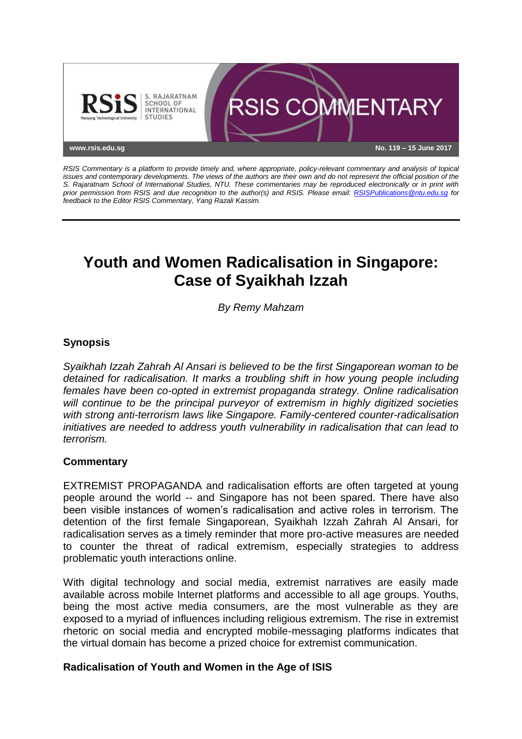

*RSIS Commentary is a platform to provide timely and, where appropriate, policy-relevant commentary and analysis of topical issues and contemporary developments. The views of the authors are their own and do not represent the official position of the S. Rajaratnam School of International Studies, NTU. These commentaries may be reproduced electronically or in print with prior permission from RSIS and due recognition to the author(s) and RSIS. Please email: [RSISPublications@ntu.edu.sg](mailto:RSISPublications@ntu.edu.sg) for feedback to the Editor RSIS Commentary, Yang Razali Kassim.*

# **Youth and Women Radicalisation in Singapore: Case of Syaikhah Izzah**

*By Remy Mahzam*

## **Synopsis**

*Syaikhah Izzah Zahrah Al Ansari is believed to be the first Singaporean woman to be detained for radicalisation. It marks a troubling shift in how young people including females have been co-opted in extremist propaganda strategy. Online radicalisation will continue to be the principal purveyor of extremism in highly digitized societies with strong anti-terrorism laws like Singapore. Family-centered counter-radicalisation initiatives are needed to address youth vulnerability in radicalisation that can lead to terrorism.*

#### **Commentary**

EXTREMIST PROPAGANDA and radicalisation efforts are often targeted at young people around the world -- and Singapore has not been spared. There have also been visible instances of women's radicalisation and active roles in terrorism. The detention of the first female Singaporean, Syaikhah Izzah Zahrah Al Ansari, for radicalisation serves as a timely reminder that more pro-active measures are needed to counter the threat of radical extremism, especially strategies to address problematic youth interactions online.

With digital technology and social media, extremist narratives are easily made available across mobile Internet platforms and accessible to all age groups. Youths, being the most active media consumers, are the most vulnerable as they are exposed to a myriad of influences including religious extremism. The rise in extremist rhetoric on social media and encrypted mobile-messaging platforms indicates that the virtual domain has become a prized choice for extremist communication.

#### **Radicalisation of Youth and Women in the Age of ISIS**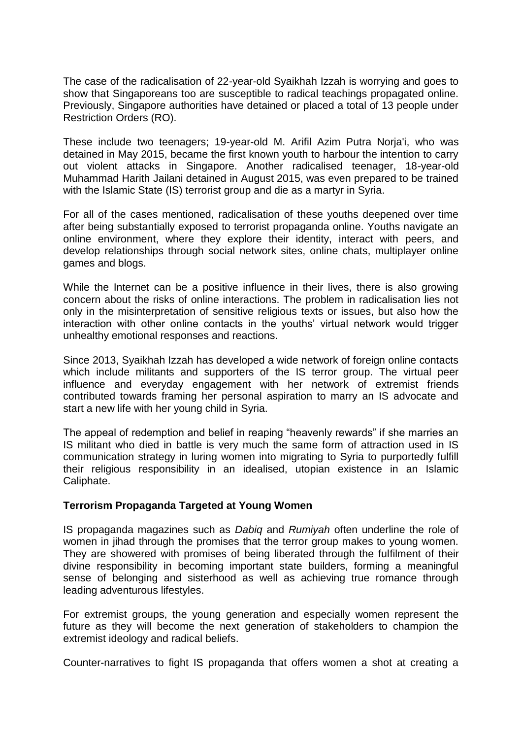The case of the radicalisation of 22-year-old Syaikhah Izzah is worrying and goes to show that Singaporeans too are susceptible to radical teachings propagated online. Previously, Singapore authorities have detained or placed a total of 13 people under Restriction Orders (RO).

These include two teenagers; 19-year-old M. Arifil Azim Putra Norja'i, who was detained in May 2015, became the first known youth to harbour the intention to carry out violent attacks in Singapore. Another radicalised teenager, 18-year-old Muhammad Harith Jailani detained in August 2015, was even prepared to be trained with the Islamic State (IS) terrorist group and die as a martyr in Syria.

For all of the cases mentioned, radicalisation of these youths deepened over time after being substantially exposed to terrorist propaganda online. Youths navigate an online environment, where they explore their identity, interact with peers, and develop relationships through social network sites, online chats, multiplayer online games and blogs.

While the Internet can be a positive influence in their lives, there is also growing concern about the risks of online interactions. The problem in radicalisation lies not only in the misinterpretation of sensitive religious texts or issues, but also how the interaction with other online contacts in the youths' virtual network would trigger unhealthy emotional responses and reactions.

Since 2013, Syaikhah Izzah has developed a wide network of foreign online contacts which include militants and supporters of the IS terror group. The virtual peer influence and everyday engagement with her network of extremist friends contributed towards framing her personal aspiration to marry an IS advocate and start a new life with her young child in Syria.

The appeal of redemption and belief in reaping "heavenly rewards" if she marries an IS militant who died in battle is very much the same form of attraction used in IS communication strategy in luring women into migrating to Syria to purportedly fulfill their religious responsibility in an idealised, utopian existence in an Islamic Caliphate.

#### **Terrorism Propaganda Targeted at Young Women**

IS propaganda magazines such as *Dabiq* and *Rumiyah* often underline the role of women in jihad through the promises that the terror group makes to young women. They are showered with promises of being liberated through the fulfilment of their divine responsibility in becoming important state builders, forming a meaningful sense of belonging and sisterhood as well as achieving true romance through leading adventurous lifestyles.

For extremist groups, the young generation and especially women represent the future as they will become the next generation of stakeholders to champion the extremist ideology and radical beliefs.

Counter-narratives to fight IS propaganda that offers women a shot at creating a